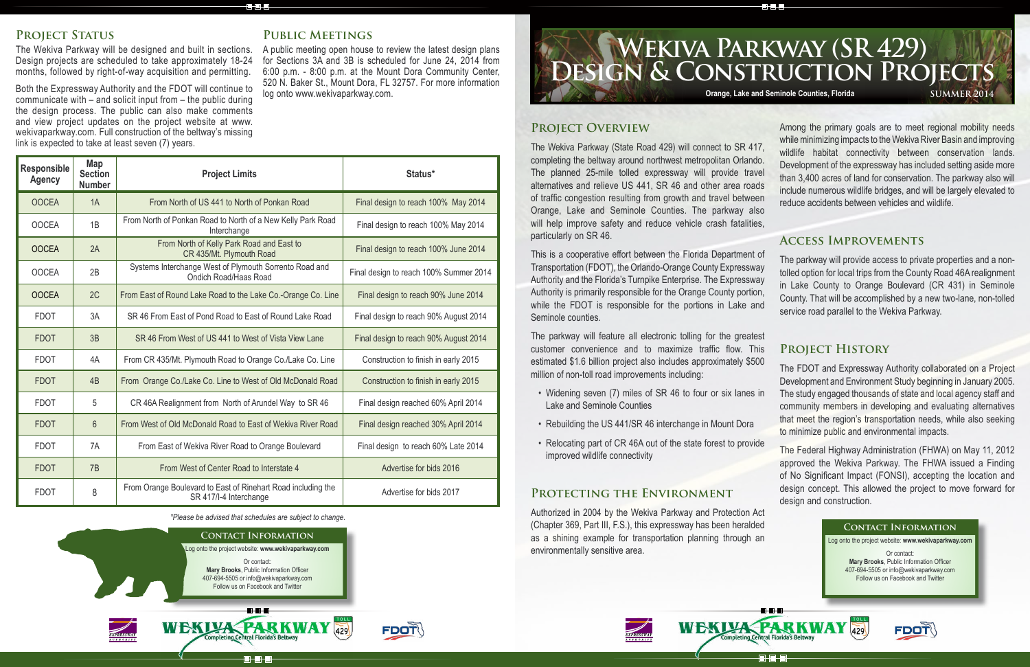The parkway will feature all electronic tolling for the greatest customer convenience and to maximize traffic flow. This estimated \$1.6 billion project also includes approximately \$500 million of non-toll road improvements including:

- Widening seven (7) miles of SR 46 to four or six lanes in Lake and Seminole Counties
- Rebuilding the US 441/SR 46 interchange in Mount Dora
- Relocating part of CR 46A out of the state forest to provide improved wildlife connectivity

### **Protecting the Environment**

**Project Overview** The Wekiva Parkway (State Road 429) will connect to SR 417, completing the beltway around northwest metropolitan Orlando. The planned 25-mile tolled expressway will provide travel alternatives and relieve US 441, SR 46 and other area roads of traffic congestion resulting from growth and travel between Orange, Lake and Seminole Counties. The parkway also will help improve safety and reduce vehicle crash fatalities, particularly on SR 46. Among the primary goals are to meet regional mobility needs while minimizing impacts to the Wekiva River Basin and improving wildlife habitat connectivity between conservation lands. Development of the expressway has included setting aside more than 3,400 acres of land for conservation. The parkway also will include numerous wildlife bridges, and will be largely elevated to reduce accidents between vehicles and wildlife.

**CHOHE** 

Authorized in 2004 by the Wekiva Parkway and Protection Act (Chapter 369, Part III, F.S.), this expressway has been heralded as a shining example for transportation planning through an environmentally sensitive area.



# **Design & Construction Projects Wekiva Parkway (SR 429) Orange, Lake and Seminole Counties, Florida SUMMER 2014**

## PROJECT STATUS

The Wekiva Parkway will be designed and built in sections. Design projects are scheduled to take approximately 18-24 months, followed by right-of-way acquisition and permitting.

> This is a cooperative effort between the Florida Department of Transportation (FDOT), the Orlando-Orange County Expressway Authority and the Florida's Turnpike Enterprise. The Expressway Authority is primarily responsible for the Orange County portion, while the FDOT is responsible for the portions in Lake and Seminole counties. The parkway will provide access to private properties and a nontolled option for local trips from the County Road 46A realignment in Lake County to Orange Boulevard (CR 431) in Seminole County. That will be accomplished by a new two-lane, non-tolled service road parallel to the Wekiva Parkway.

Both the Expressway Authority and the FDOT will continue to communicate with – and solicit input from – the public during the design process. The public can also make comments and view project updates on the project website at www. wekivaparkway.com. Full construction of the beltway's missing link is expected to take at least seven (7) years.

# **Public Meetings**

8.8.8

A public meeting open house to review the latest design plans for Sections 3A and 3B is scheduled for June 24, 2014 from 6:00 p.m. - 8:00 p.m. at the Mount Dora Community Center, 520 N. Baker St., Mount Dora, FL 32757. For more information log onto www.wekivaparkway.com.

**FDOT** 

# **Access Improvements**

# **Project History**

The FDOT and Expressway Authority collaborated on a Project Development and Environment Study beginning in January 2005. The study engaged thousands of state and local agency staff and community members in developing and evaluating alternatives that meet the region's transportation needs, while also seeking to minimize public and environmental impacts.

The Federal Highway Administration (FHWA) on May 11, 2012 approved the Wekiva Parkway. The FHWA issued a Finding of No Significant Impact (FONSI), accepting the location and design concept. This allowed the project to move forward for design and construction.

*\*Please be advised that schedules are subject to change.*

**Central Florida's Belt** 

**ala d** 







Log onto the project website: **www.wekivaparkway.com**

Or contact: **Mary Brooks**, Public Information Officer 407-694-5505 or info@wekivaparkway.com Follow us on Facebook and Twitter





| <b>Responsible</b><br><b>Agency</b> | Map<br><b>Section</b><br><b>Number</b> | <b>Project Limits</b>                                                                  | Status*                                |
|-------------------------------------|----------------------------------------|----------------------------------------------------------------------------------------|----------------------------------------|
| <b>OOCEA</b>                        | 1A                                     | From North of US 441 to North of Ponkan Road                                           | Final design to reach 100% May 2014    |
| <b>OOCEA</b>                        | 1B                                     | From North of Ponkan Road to North of a New Kelly Park Road<br>Interchange             | Final design to reach 100% May 2014    |
| <b>OOCEA</b>                        | 2A                                     | From North of Kelly Park Road and East to<br>CR 435/Mt. Plymouth Road                  | Final design to reach 100% June 2014   |
| <b>OOCEA</b>                        | 2B                                     | Systems Interchange West of Plymouth Sorrento Road and<br>Ondich Road/Haas Road        | Final design to reach 100% Summer 2014 |
| <b>OOCEA</b>                        | 2C                                     | From East of Round Lake Road to the Lake Co.-Orange Co. Line                           | Final design to reach 90% June 2014    |
| <b>FDOT</b>                         | 3A                                     | SR 46 From East of Pond Road to East of Round Lake Road                                | Final design to reach 90% August 2014  |
| <b>FDOT</b>                         | 3B                                     | SR 46 From West of US 441 to West of Vista View Lane                                   | Final design to reach 90% August 2014  |
| <b>FDOT</b>                         | 4A                                     | From CR 435/Mt. Plymouth Road to Orange Co./Lake Co. Line                              | Construction to finish in early 2015   |
| <b>FDOT</b>                         | 4B                                     | From Orange Co./Lake Co. Line to West of Old McDonald Road                             | Construction to finish in early 2015   |
| <b>FDOT</b>                         | 5                                      | CR 46A Realignment from North of Arundel Way to SR 46                                  | Final design reached 60% April 2014    |
| <b>FDOT</b>                         | $6\overline{6}$                        | From West of Old McDonald Road to East of Wekiva River Road                            | Final design reached 30% April 2014    |
| <b>FDOT</b>                         | 7A                                     | From East of Wekiva River Road to Orange Boulevard                                     | Final design to reach 60% Late 2014    |
| <b>FDOT</b>                         | 7B                                     | From West of Center Road to Interstate 4                                               | Advertise for bids 2016                |
| <b>FDOT</b>                         | 8                                      | From Orange Boulevard to East of Rinehart Road including the<br>SR 417/I-4 Interchange | Advertise for bids 2017                |